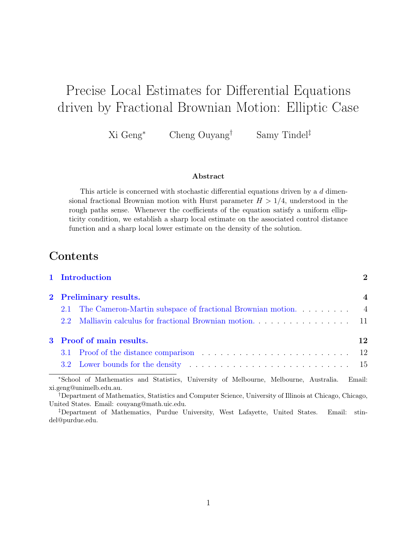# Precise Local Estimates for Differential Equations driven by Fractional Brownian Motion: Elliptic Case

Xi Geng<sup>∗</sup> Cheng Ouyang† Samy Tindel‡

#### Abstract

This article is concerned with stochastic differential equations driven by a d dimensional fractional Brownian motion with Hurst parameter  $H > 1/4$ , understood in the rough paths sense. Whenever the coefficients of the equation satisfy a uniform ellipticity condition, we establish a sharp local estimate on the associated control distance function and a sharp local lower estimate on the density of the solution.

# Contents

|                | 1 Introduction                                                                                                                                                                                                                 | $\overline{2}$ |
|----------------|--------------------------------------------------------------------------------------------------------------------------------------------------------------------------------------------------------------------------------|----------------|
| $\mathbf{2}^-$ | <b>Preliminary results.</b>                                                                                                                                                                                                    | $\overline{4}$ |
|                | The Cameron-Martin subspace of fractional Brownian motion<br>2.1                                                                                                                                                               | $\overline{4}$ |
|                | $2.2^{\circ}$                                                                                                                                                                                                                  | 11             |
| 3              | Proof of main results.                                                                                                                                                                                                         | 12             |
|                |                                                                                                                                                                                                                                | 12             |
|                | 3.2 Lower bounds for the density entertainment of the state of the state of the state of the state of the state of the state of the state of the state of the state of the state of the state of the state of the state of the | 15             |
|                | *School of Mathematics and Statistics, University of Melbourne, Melbourne, Australia.<br>xi.geng@unimelb.edu.au.                                                                                                               | Email:         |
|                | <sup>†</sup> Department of Mathematics, Statistics and Computer Science, University of Illinois at Chicago, Chicago,<br>United States. Email: couyang@math.uic.edu.                                                            |                |

‡Department of Mathematics, Purdue University, West Lafayette, United States. Email: stindel@purdue.edu.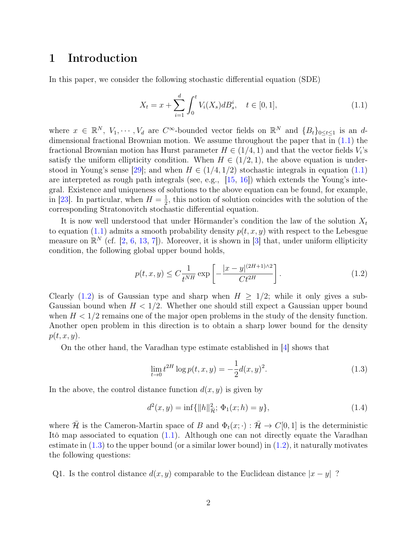# <span id="page-1-0"></span>1 Introduction

In this paper, we consider the following stochastic differential equation (SDE)

<span id="page-1-1"></span>
$$
X_t = x + \sum_{i=1}^d \int_0^t V_i(X_s) dB_s^i, \quad t \in [0, 1], \tag{1.1}
$$

where  $x \in \mathbb{R}^N$ ,  $V_1, \dots, V_d$  are  $C^{\infty}$ -bounded vector fields on  $\mathbb{R}^N$  and  $\{B_t\}_{0 \le t \le 1}$  is an ddimensional fractional Brownian motion. We assume throughout the paper that in [\(1.1\)](#page-1-1) the fractional Brownian motion has Hurst parameter  $H \in (1/4, 1)$  and that the vector fields  $V_i$ 's satisfy the uniform ellipticity condition. When  $H \in (1/2, 1)$ , the above equation is under-stood in Young's sense [\[29\]](#page-22-0); and when  $H \in (1/4, 1/2)$  stochastic integrals in equation [\(1.1\)](#page-1-1) are interpreted as rough path integrals (see, e.g., [\[15,](#page-21-0) [16\]](#page-21-1)) which extends the Young's integral. Existence and uniqueness of solutions to the above equation can be found, for example, in [\[23\]](#page-22-1). In particular, when  $H=\frac{1}{2}$  $\frac{1}{2}$ , this notion of solution coincides with the solution of the corresponding Stratonovitch stochastic differential equation.

It is now well understood that under Hörmander's condition the law of the solution  $X_t$ to equation [\(1.1\)](#page-1-1) admits a smooth probability density  $p(t, x, y)$  with respect to the Lebesgue measure on  $\mathbb{R}^N$  (cf. [\[2,](#page-20-0) [6,](#page-21-2) [13,](#page-21-3) [7\]](#page-21-4)). Moreover, it is shown in [\[3\]](#page-20-1) that, under uniform ellipticity condition, the following global upper bound holds,

<span id="page-1-2"></span>
$$
p(t, x, y) \le C \frac{1}{t^{NH}} \exp\left[-\frac{|x - y|^{(2H+1)/2}}{C t^{2H}}\right].
$$
 (1.2)

Clearly [\(1.2\)](#page-1-2) is of Gaussian type and sharp when  $H > 1/2$ ; while it only gives a sub-Gaussian bound when  $H < 1/2$ . Whether one should still expect a Gaussian upper bound when  $H < 1/2$  remains one of the major open problems in the study of the density function. Another open problem in this direction is to obtain a sharp lower bound for the density  $p(t, x, y)$ .

On the other hand, the Varadhan type estimate established in [\[4\]](#page-21-5) shows that

<span id="page-1-4"></span><span id="page-1-3"></span>
$$
\lim_{t \to 0} t^{2H} \log p(t, x, y) = -\frac{1}{2} d(x, y)^2.
$$
\n(1.3)

In the above, the control distance function  $d(x, y)$  is given by

$$
d^{2}(x, y) = \inf\{\|h\|_{\tilde{\mathcal{H}}}^{2}; \Phi_{1}(x; h) = y\},\tag{1.4}
$$

where  $\bar{\mathcal{H}}$  is the Cameron-Martin space of B and  $\Phi_t(x; \cdot) : \bar{\mathcal{H}} \to C[0, 1]$  is the deterministic Itô map associated to equation [\(1.1\)](#page-1-1). Although one can not directly equate the Varadhan estimate in  $(1.3)$  to the upper bound (or a similar lower bound) in  $(1.2)$ , it naturally motivates the following questions:

Q1. Is the control distance  $d(x, y)$  comparable to the Euclidean distance  $|x - y|$ ?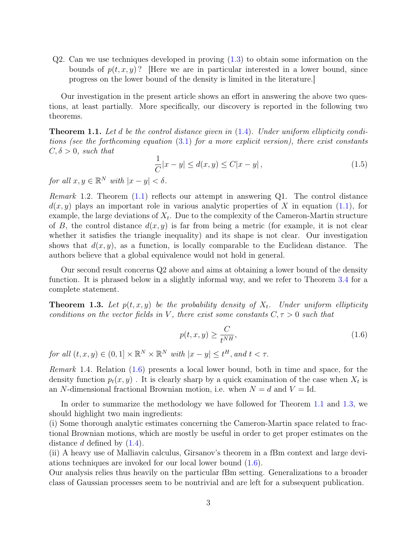Q2. Can we use techniques developed in proving [\(1.3\)](#page-1-3) to obtain some information on the bounds of  $p(t, x, y)$ ? Here we are in particular interested in a lower bound, since progress on the lower bound of the density is limited in the literature.]

Our investigation in the present article shows an effort in answering the above two questions, at least partially. More specifically, our discovery is reported in the following two theorems.

<span id="page-2-0"></span>**Theorem 1.1.** Let d be the control distance given in  $(1.4)$ . Under uniform ellipticity conditions (see the forthcoming equation [\(3.1\)](#page-11-2) for a more explicit version), there exist constants  $C, \delta > 0$ , such that

$$
\frac{1}{C}|x - y| \le d(x, y) \le C|x - y|,
$$
\n(1.5)

for all  $x, y \in \mathbb{R}^N$  with  $|x - y| < \delta$ .

*Remark* 1.2. Theorem  $(1.1)$  reflects our attempt in answering Q1. The control distance  $d(x, y)$  plays an important role in various analytic properties of X in equation [\(1.1\)](#page-1-1), for example, the large deviations of  $X_t$ . Due to the complexity of the Cameron-Martin structure of B, the control distance  $d(x, y)$  is far from being a metric (for example, it is not clear whether it satisfies the triangle inequality) and its shape is not clear. Our investigation shows that  $d(x, y)$ , as a function, is locally comparable to the Euclidean distance. The authors believe that a global equivalence would not hold in general.

Our second result concerns Q2 above and aims at obtaining a lower bound of the density function. It is phrased below in a slightly informal way, and we refer to Theorem [3.4](#page-14-1) for a complete statement.

<span id="page-2-2"></span>**Theorem 1.3.** Let  $p(t, x, y)$  be the probability density of  $X_t$ . Under uniform ellipticity conditions on the vector fields in V, there exist some constants  $C, \tau > 0$  such that

<span id="page-2-1"></span>
$$
p(t, x, y) \ge \frac{C}{t^{NH}},\tag{1.6}
$$

for all  $(t, x, y) \in (0, 1] \times \mathbb{R}^N \times \mathbb{R}^N$  with  $|x - y| \leq t^H$ , and  $t < \tau$ .

Remark 1.4. Relation [\(1.6\)](#page-2-1) presents a local lower bound, both in time and space, for the density function  $p_t(x, y)$ . It is clearly sharp by a quick examination of the case when  $X_t$  is an N-dimensional fractional Brownian motion, i.e. when  $N = d$  and  $V = Id$ .

In order to summarize the methodology we have followed for Theorem [1.1](#page-2-0) and [1.3,](#page-2-2) we should highlight two main ingredients:

(i) Some thorough analytic estimates concerning the Cameron-Martin space related to fractional Brownian motions, which are mostly be useful in order to get proper estimates on the distance d defined by  $(1.4)$ .

(ii) A heavy use of Malliavin calculus, Girsanov's theorem in a fBm context and large deviations techniques are invoked for our local lower bound [\(1.6\)](#page-2-1).

Our analysis relies thus heavily on the particular fBm setting. Generalizations to a broader class of Gaussian processes seem to be nontrivial and are left for a subsequent publication.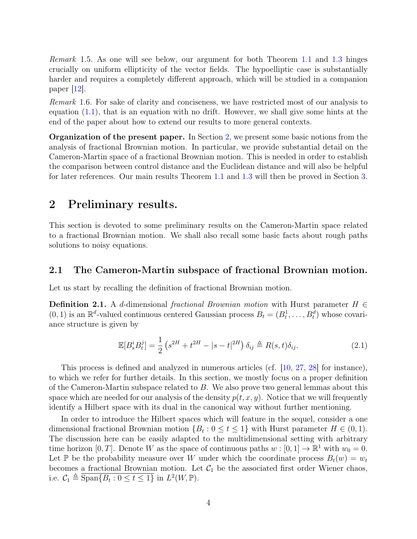Remark 1.5. As one will see below, our argument for both Theorem [1.1](#page-2-0) and [1.3](#page-2-2) hinges crucially on uniform ellipticity of the vector fields. The hypoelliptic case is substantially harder and requires a completely different approach, which will be studied in a companion paper  $|12|$ .

Remark 1.6. For sake of clarity and conciseness, we have restricted most of our analysis to equation  $(1.1)$ , that is an equation with no drift. However, we shall give some hints at the end of the paper about how to extend our results to more general contexts.

Organization of the present paper. In Section [2,](#page-3-0) we present some basic notions from the analysis of fractional Brownian motion. In particular, we provide substantial detail on the Cameron-Martin space of a fractional Brownian motion. This is needed in order to establish the comparison between control distance and the Euclidean distance and will also be helpful for later references. Our main results Theorem [1.1](#page-2-0) and [1.3](#page-2-2) will then be proved in Section [3.](#page-11-0)

## <span id="page-3-0"></span>2 Preliminary results.

This section is devoted to some preliminary results on the Cameron-Martin space related to a fractional Brownian motion. We shall also recall some basic facts about rough paths solutions to noisy equations.

#### <span id="page-3-1"></span>2.1 The Cameron-Martin subspace of fractional Brownian motion.

Let us start by recalling the definition of fractional Brownian motion.

<span id="page-3-2"></span>**Definition 2.1.** A d-dimensional fractional Brownian motion with Hurst parameter  $H \in$  $(0, 1)$  is an  $\mathbb{R}^d$ -valued continuous centered Gaussian process  $B_t = (B_t^1, \ldots, B_t^d)$  whose covariance structure is given by

<span id="page-3-3"></span>
$$
\mathbb{E}[B_s^i B_t^j] = \frac{1}{2} \left( s^{2H} + t^{2H} - |s - t|^{2H} \right) \delta_{ij} \triangleq R(s, t) \delta_{ij}.
$$
 (2.1)

This process is defined and analyzed in numerous articles (cf. [\[10,](#page-21-7) [27,](#page-22-2) [28\]](#page-22-3) for instance), to which we refer for further details. In this section, we mostly focus on a proper definition of the Cameron-Martin subspace related to B. We also prove two general lemmas about this space which are needed for our analysis of the density  $p(t, x, y)$ . Notice that we will frequently identify a Hilbert space with its dual in the canonical way without further mentioning.

In order to introduce the Hilbert spaces which will feature in the sequel, consider a one dimensional fractional Brownian motion  $\{B_t : 0 \le t \le 1\}$  with Hurst parameter  $H \in (0, 1)$ . The discussion here can be easily adapted to the multidimensional setting with arbitrary time horizon [0, T]. Denote W as the space of continuous paths  $w : [0, 1] \to \mathbb{R}^1$  with  $w_0 = 0$ . Let P be the probability measure over W under which the coordinate process  $B_t(w) = w_t$ becomes a fractional Brownian motion. Let  $C_1$  be the associated first order Wiener chaos, i.e.  $C_1 \triangleq \overline{\text{Span}\{B_t : 0 \le t \le 1\}}$  in  $L^2(W, \mathbb{P})$ .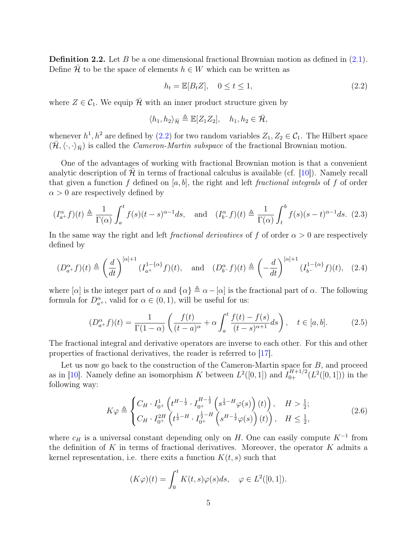<span id="page-4-3"></span>**Definition 2.2.** Let B be a one dimensional fractional Brownian motion as defined in  $(2.1)$ . Define  $\mathcal H$  to be the space of elements  $h \in W$  which can be written as

<span id="page-4-0"></span>
$$
h_t = \mathbb{E}[B_t Z], \quad 0 \le t \le 1,
$$
\n
$$
(2.2)
$$

where  $Z \in C_1$ . We equip  $\overline{\mathcal{H}}$  with an inner product structure given by

$$
\langle h_1, h_2 \rangle_{\bar{\mathcal{H}}} \triangleq \mathbb{E}[Z_1 Z_2], \quad h_1, h_2 \in \bar{\mathcal{H}},
$$

whenever  $h^1, h^2$  are defined by  $(2.2)$  for two random variables  $Z_1, Z_2 \in C_1$ . The Hilbert space  $(\bar{\mathcal{H}}, \langle \cdot, \cdot \rangle_{\bar{\mathcal{H}}})$  is called the *Cameron-Martin subspace* of the fractional Brownian motion.

One of the advantages of working with fractional Brownian motion is that a convenient analytic description of  $\mathcal H$  in terms of fractional calculus is available (cf. [\[10\]](#page-21-7)). Namely recall that given a function f defined on  $[a, b]$ , the right and left fractional integrals of f of order  $\alpha > 0$  are respectively defined by

<span id="page-4-1"></span>
$$
(I_{a+}^{\alpha}f)(t) \triangleq \frac{1}{\Gamma(\alpha)} \int_{a}^{t} f(s)(t-s)^{\alpha-1} ds, \text{ and } (I_{b-}^{\alpha}f)(t) \triangleq \frac{1}{\Gamma(\alpha)} \int_{t}^{b} f(s)(s-t)^{\alpha-1} ds. (2.3)
$$

In the same way the right and left *fractional derivatives* of f of order  $\alpha > 0$  are respectively defined by

<span id="page-4-2"></span>
$$
(D_{a+}^{\alpha}f)(t) \triangleq \left(\frac{d}{dt}\right)^{[\alpha]+1} (I_{a+}^{1-\{\alpha\}}f)(t), \quad \text{and} \quad (D_{b-}^{\alpha}f)(t) \triangleq \left(-\frac{d}{dt}\right)^{[\alpha]+1} (I_{b-}^{1-\{\alpha\}}f)(t), \quad (2.4)
$$

where  $[\alpha]$  is the integer part of  $\alpha$  and  $\{\alpha\} \triangleq \alpha - [\alpha]$  is the fractional part of  $\alpha$ . The following formula for  $D_{a^+}^{\alpha}$ , valid for  $\alpha \in (0,1)$ , will be useful for us:

$$
(D_{a+}^{\alpha}f)(t) = \frac{1}{\Gamma(1-\alpha)} \left( \frac{f(t)}{(t-a)^{\alpha}} + \alpha \int_{a}^{t} \frac{f(t) - f(s)}{(t-s)^{\alpha+1}} ds \right), \quad t \in [a, b]. \tag{2.5}
$$

The fractional integral and derivative operators are inverse to each other. For this and other properties of fractional derivatives, the reader is referred to [\[17\]](#page-21-8).

Let us now go back to the construction of the Cameron-Martin space for B, and proceed as in [\[10\]](#page-21-7). Namely define an isomorphism K between  $L^2([0,1])$  and  $I_{0+}^{H+1/2}(L^2([0,1]))$  in the following way:

<span id="page-4-4"></span>
$$
K\varphi \triangleq \begin{cases} C_H \cdot I_{0^+}^1 \left( t^{H - \frac{1}{2}} \cdot I_{0^+}^{H - \frac{1}{2}} \left( s^{\frac{1}{2} - H} \varphi(s) \right) (t) \right), & H > \frac{1}{2}; \\ C_H \cdot I_{0^+}^{2H} \left( t^{\frac{1}{2} - H} \cdot I_{0^+}^{\frac{1}{2} - H} \left( s^{H - \frac{1}{2}} \varphi(s) \right) (t) \right), & H \le \frac{1}{2}, \end{cases} (2.6)
$$

where  $c_H$  is a universal constant depending only on H. One can easily compute  $K^{-1}$  from the definition of K in terms of fractional derivatives. Moreover, the operator K admits a kernel representation, i.e. there exits a function  $K(t, s)$  such that

$$
(K\varphi)(t) = \int_0^t K(t,s)\varphi(s)ds, \quad \varphi \in L^2([0,1]).
$$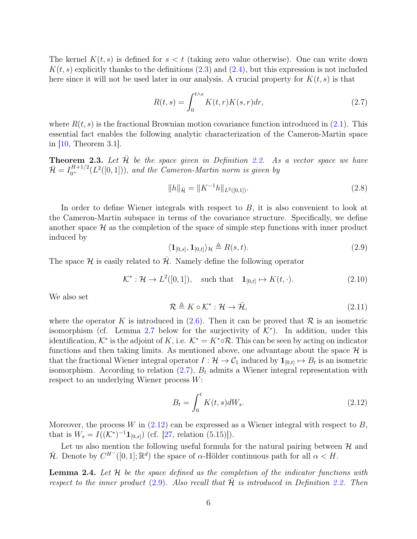The kernel  $K(t, s)$  is defined for  $s < t$  (taking zero value otherwise). One can write down  $K(t, s)$  explicitly thanks to the definitions [\(2.3\)](#page-4-1) and [\(2.4\)](#page-4-2), but this expression is not included here since it will not be used later in our analysis. A crucial property for  $K(t, s)$  is that

<span id="page-5-0"></span>
$$
R(t,s) = \int_0^{t \wedge s} K(t,r)K(s,r)dr,
$$
\n(2.7)

where  $R(t, s)$  is the fractional Brownian motion covariance function introduced in [\(2.1\)](#page-3-3). This essential fact enables the following analytic characterization of the Cameron-Martin space in [\[10,](#page-21-7) Theorem 3.1].

<span id="page-5-5"></span>**Theorem 2.3.** Let  $\bar{\mathcal{H}}$  be the space given in Definition [2.2.](#page-4-3) As a vector space we have  $\bar{\mathcal{H}} = I_{0^+}^{H+1/2}(L^2([0,1])),$  and the Cameron-Martin norm is given by

$$
||h||_{\bar{\mathcal{H}}} = ||K^{-1}h||_{L^{2}([0,1])}.
$$
\n(2.8)

In order to define Wiener integrals with respect to  $B$ , it is also convenient to look at the Cameron-Martin subspace in terms of the covariance structure. Specifically, we define another space  $\mathcal H$  as the completion of the space of simple step functions with inner product induced by

<span id="page-5-2"></span>
$$
\langle \mathbf{1}_{[0,s]}, \mathbf{1}_{[0,t]} \rangle_{\mathcal{H}} \triangleq R(s,t). \tag{2.9}
$$

The space  $\mathcal H$  is easily related to  $\bar{\mathcal H}$ . Namely define the following operator

<span id="page-5-4"></span>
$$
\mathcal{K}^*: \mathcal{H} \to L^2([0,1]), \quad \text{such that} \quad \mathbf{1}_{[0,t]} \mapsto K(t,\cdot). \tag{2.10}
$$

We also set

<span id="page-5-3"></span>
$$
\mathcal{R} \triangleq K \circ \mathcal{K}^* : \mathcal{H} \to \bar{\mathcal{H}},\tag{2.11}
$$

where the operator K is introduced in  $(2.6)$ . Then it can be proved that R is an isometric isomorphism (cf. Lemma [2.7](#page-7-0) below for the surjectivity of  $K^*$ ). In addition, under this identification,  $K^*$  is the adjoint of K, i.e.  $K^* = K^* \circ \mathcal{R}$ . This can be seen by acting on indicator functions and then taking limits. As mentioned above, one advantage about the space  $\mathcal{H}$  is that the fractional Wiener integral operator  $I: \mathcal{H} \to \mathcal{C}_1$  induced by  $\mathbf{1}_{[0,t]} \mapsto B_t$  is an isometric isomorphism. According to relation  $(2.7)$ ,  $B_t$  admits a Wiener integral representation with respect to an underlying Wiener process W:

<span id="page-5-1"></span>
$$
B_t = \int_0^t K(t, s)dW_s.
$$
\n(2.12)

Moreover, the process W in  $(2.12)$  can be expressed as a Wiener integral with respect to B, that is  $W_s = I((\mathcal{K}^*)^{-1} \mathbf{1}_{[0,s]})$  (cf. [\[27,](#page-22-2) relation (5.15)]).

Let us also mention the following useful formula for the natural pairing between  $\mathcal{H}$  and  $\bar{\mathcal{H}}$ . Denote by  $C^{H^-}([0,1];\mathbb{R}^d)$  the space of  $\alpha$ -Hölder continuous path for all  $\alpha < H$ .

**Lemma 2.4.** Let  $H$  be the space defined as the completion of the indicator functions with respect to the inner product [\(2.9\)](#page-5-2). Also recall that  $\overline{\mathcal{H}}$  is introduced in Definition [2.2.](#page-4-3) Then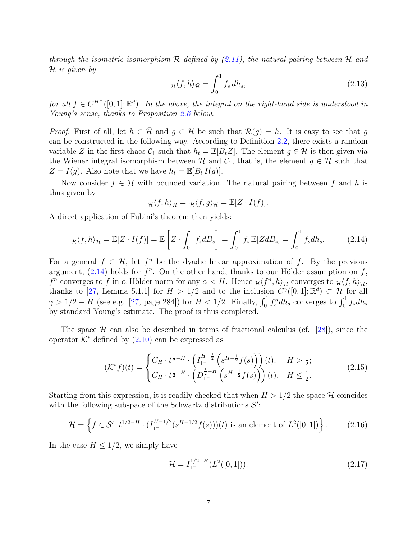through the isometric isomorphism  $R$  defined by [\(2.11\)](#page-5-3), the natural pairing between  $H$  and  $\mathcal H$  is given by

<span id="page-6-4"></span>
$$
\mu \langle f, h \rangle_{\bar{\mathcal{H}}} = \int_0^1 f_s \, dh_s,\tag{2.13}
$$

for all  $f \in C^{H^{-}}([0,1];\mathbb{R}^{d})$ . In the above, the integral on the right-hand side is understood in Young's sense, thanks to Proposition [2.6](#page-7-1) below.

*Proof.* First of all, let  $h \in \mathcal{H}$  and  $g \in \mathcal{H}$  be such that  $\mathcal{R}(g) = h$ . It is easy to see that g can be constructed in the following way. According to Definition [2.2,](#page-4-3) there exists a random variable Z in the first chaos  $C_1$  such that  $h_t = \mathbb{E}[B_t Z]$ . The element  $g \in \mathcal{H}$  is then given via the Wiener integral isomorphism between  $\mathcal H$  and  $\mathcal C_1$ , that is, the element  $g \in \mathcal H$  such that  $Z = I(g)$ . Also note that we have  $h_t = \mathbb{E}[B_t I(g)]$ .

Now consider  $f \in \mathcal{H}$  with bounded variation. The natural pairing between f and h is thus given by

<span id="page-6-0"></span>
$$
\mathcal{H}\langle f,h\rangle_{\bar{\mathcal{H}}} = \mathcal{H}\langle f,g\rangle_{\mathcal{H}} = \mathbb{E}[Z\cdot I(f)].
$$

A direct application of Fubini's theorem then yields:

$$
\mu \langle f, h \rangle_{\bar{\mathcal{H}}} = \mathbb{E}[Z \cdot I(f)] = \mathbb{E}\left[Z \cdot \int_0^1 f_s dB_s\right] = \int_0^1 f_s \mathbb{E}[Z dB_s] = \int_0^1 f_s dh_s. \tag{2.14}
$$

For a general  $f \in \mathcal{H}$ , let  $f^n$  be the dyadic linear approximation of f. By the previous argument,  $(2.14)$  holds for  $f^n$ . On the other hand, thanks to our Hölder assumption on f,  $f^n$  converges to f in  $\alpha$ -Hölder norm for any  $\alpha < H$ . Hence  $\mu \langle f^n, h \rangle_{\bar{\mathcal{H}}}$  converges to  $\mu \langle f, h \rangle_{\bar{\mathcal{H}}}$ , thanks to [\[27,](#page-22-2) Lemma 5.1.1] for  $H > 1/2$  and to the inclusion  $C^{\gamma}([0,1];\mathbb{R}^d) \subset \mathcal{H}$  for all  $\gamma > 1/2 - H$  (see e.g. [\[27,](#page-22-2) page 284]) for  $H < 1/2$ . Finally,  $\int_0^1 f_s^n dh_s$  converges to  $\int_0^1 f_s dh_s$ by standard Young's estimate. The proof is thus completed.  $\Box$ 

The space  $\mathcal{H}$  can also be described in terms of fractional calculus (cf. [\[28\]](#page-22-3)), since the operator  $K^*$  defined by  $(2.10)$  can be expressed as

<span id="page-6-3"></span>
$$
(\mathcal{K}^* f)(t) = \begin{cases} C_H \cdot t^{\frac{1}{2}-H} \cdot \left( I_{1^-}^{H-\frac{1}{2}} \left( s^{H-\frac{1}{2}} f(s) \right) \right)(t), & H > \frac{1}{2}; \\ C_H \cdot t^{\frac{1}{2}-H} \cdot \left( D_{1^-}^{\frac{1}{2}-H} \left( s^{H-\frac{1}{2}} f(s) \right) \right)(t), & H \le \frac{1}{2}. \end{cases}
$$
(2.15)

Starting from this expression, it is readily checked that when  $H > 1/2$  the space H coincides with the following subspace of the Schwartz distributions  $S'$ :

<span id="page-6-1"></span>
$$
\mathcal{H} = \left\{ f \in \mathcal{S}'; \ t^{1/2 - H} \cdot (I_{1^-}^{H-1/2} (s^{H-1/2} f(s)))(t) \text{ is an element of } L^2([0,1]) \right\}. \tag{2.16}
$$

In the case  $H \leq 1/2$ , we simply have

<span id="page-6-2"></span>
$$
\mathcal{H} = I_1^{1/2-H}(L^2([0,1])). \tag{2.17})
$$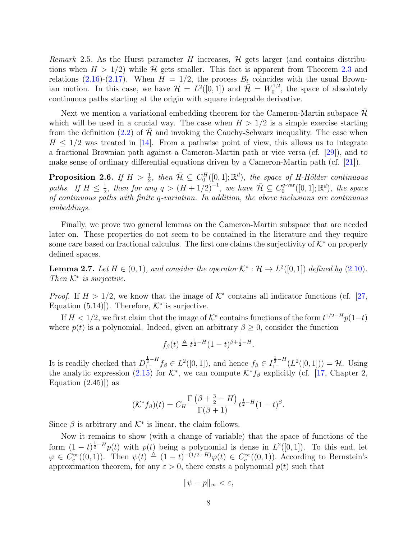*Remark* 2.5. As the Hurst parameter H increases,  $H$  gets larger (and contains distributions when  $H > 1/2$  while H gets smaller. This fact is apparent from Theorem [2.3](#page-5-5) and relations [\(2.16\)](#page-6-1)-[\(2.17\)](#page-6-2). When  $H = 1/2$ , the process  $B_t$  coincides with the usual Brownian motion. In this case, we have  $\mathcal{H} = L^2([0,1])$  and  $\bar{\mathcal{H}} = W_0^{1,2}$  $v_0^{1,2}$ , the space of absolutely continuous paths starting at the origin with square integrable derivative.

Next we mention a variational embedding theorem for the Cameron-Martin subspace  $\mathcal H$ which will be used in a crucial way. The case when  $H > 1/2$  is a simple exercise starting from the definition [\(2.2\)](#page-4-0) of  $\mathcal H$  and invoking the Cauchy-Schwarz inequality. The case when  $H \leq 1/2$  was treated in [\[14\]](#page-21-9). From a pathwise point of view, this allows us to integrate a fractional Brownian path against a Cameron-Martin path or vice versa (cf. [\[29\]](#page-22-0)), and to make sense of ordinary differential equations driven by a Cameron-Martin path (cf. [\[21\]](#page-22-4)).

<span id="page-7-1"></span>**Proposition 2.6.** If  $H > \frac{1}{2}$ , then  $\overline{\mathcal{H}} \subseteq C_0^H([0,1];\mathbb{R}^d)$ , the space of H-Hölder continuous paths. If  $H \leq \frac{1}{2}$  $\frac{1}{2}$ , then for any  $q > (H + 1/2)^{-1}$ , we have  $\overline{\mathcal{H}} \subseteq C_0^{q\text{-var}}$  $\mathcal{O}_0^{q\text{-}\mathrm{var}}([0,1];\mathbb{R}^d)$ , the space of continuous paths with finite q-variation. In addition, the above inclusions are continuous embeddings.

Finally, we prove two general lemmas on the Cameron-Martin subspace that are needed later on. These properties do not seem to be contained in the literature and they require some care based on fractional calculus. The first one claims the surjectivity of  $K^*$  on properly defined spaces.

<span id="page-7-0"></span>**Lemma 2.7.** Let  $H \in (0,1)$ , and consider the operator  $\mathcal{K}^* : \mathcal{H} \to L^2([0,1])$  defined by  $(2.10)$ . Then  $K^*$  is surjective.

*Proof.* If  $H > 1/2$ , we know that the image of  $K^*$  contains all indicator functions (cf. [\[27,](#page-22-2) Equation  $(5.14)$ . Therefore,  $K^*$  is surjective.

If  $H < 1/2$ , we first claim that the image of  $K^*$  contains functions of the form  $t^{1/2-H}p(1-t)$ where  $p(t)$  is a polynomial. Indeed, given an arbitrary  $\beta \geq 0$ , consider the function

$$
f_{\beta}(t) \triangleq t^{\frac{1}{2}-H} (1-t)^{\beta+\frac{1}{2}-H}.
$$

It is readily checked that  $D_{1-}^{\frac{1}{2}-H} f_\beta \in L^2([0,1])$ , and hence  $f_\beta \in I_{1-}^{\frac{1}{2}-H}(L^2([0,1])) = \mathcal{H}$ . Using the analytic expression [\(2.15\)](#page-6-3) for  $K^*$ , we can compute  $K^*f_\beta$  explicitly (cf. [\[17,](#page-21-8) Chapter 2, Equation  $(2.45)$ ] as

$$
(\mathcal{K}^* f_\beta)(t) = C_H \frac{\Gamma\left(\beta + \frac{3}{2} - H\right)}{\Gamma(\beta + 1)} t^{\frac{1}{2} - H} (1 - t)^\beta.
$$

Since  $\beta$  is arbitrary and  $\mathcal{K}^*$  is linear, the claim follows.

Now it remains to show (with a change of variable) that the space of functions of the form  $(1-t)^{\frac{1}{2}-H}p(t)$  with  $p(t)$  being a polynomial is dense in  $L^2([0,1])$ . To this end, let  $\varphi \in C_c^{\infty}((0,1))$ . Then  $\psi(t) \triangleq (1-t)^{-(1/2-H)}\varphi(t) \in C_c^{\infty}((0,1))$ . According to Bernstein's approximation theorem, for any  $\varepsilon > 0$ , there exists a polynomial  $p(t)$  such that

$$
\|\psi - p\|_{\infty} < \varepsilon,
$$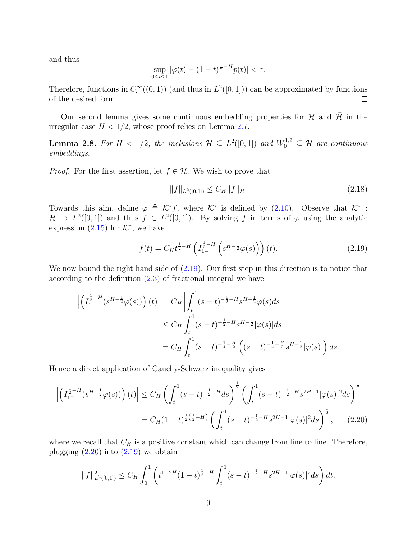and thus

$$
\sup_{0\leq t\leq 1}|\varphi(t)-(1-t)^{\frac{1}{2}-H}p(t)|<\varepsilon.
$$

Therefore, functions in  $C_c^{\infty}((0,1))$  (and thus in  $L^2([0,1])$ ) can be approximated by functions of the desired form.  $\Box$ 

Our second lemma gives some continuous embedding properties for  $\mathcal H$  and  $\bar{\mathcal H}$  in the irregular case  $H < 1/2$ , whose proof relies on Lemma [2.7.](#page-7-0)

<span id="page-8-3"></span>**Lemma 2.8.** For  $H < 1/2$ , the inclusions  $H \subseteq L^2([0,1])$  and  $W_0^{1,2} \subseteq \overline{\mathcal{H}}$  are continuous embeddings.

*Proof.* For the first assertion, let  $f \in \mathcal{H}$ . We wish to prove that

<span id="page-8-2"></span>
$$
||f||_{L^{2}([0,1])} \leq C_H ||f||_{\mathcal{H}}.\tag{2.18}
$$

Towards this aim, define  $\varphi \triangleq \mathcal{K}^* f$ , where  $\mathcal{K}^*$  is defined by [\(2.10\)](#page-5-4). Observe that  $\mathcal{K}^*$ :  $\mathcal{H} \to L^2([0,1])$  and thus  $f \in L^2([0,1])$ . By solving f in terms of  $\varphi$  using the analytic expression  $(2.15)$  for  $K^*$ , we have

<span id="page-8-1"></span><span id="page-8-0"></span>
$$
f(t) = C_H t^{\frac{1}{2} - H} \left( I_{1-}^{\frac{1}{2} - H} \left( s^{H - \frac{1}{2}} \varphi(s) \right) \right) (t).
$$
 (2.19)

We now bound the right hand side of  $(2.19)$ . Our first step in this direction is to notice that according to the definition [\(2.3\)](#page-4-1) of fractional integral we have

$$
\left| \left( I_{1^-}^{\frac{1}{2}-H} (s^{H-\frac{1}{2}} \varphi(s)) \right) (t) \right| = C_H \left| \int_t^1 (s-t)^{-\frac{1}{2}-H} s^{H-\frac{1}{2}} \varphi(s) ds \right|
$$
  
\n
$$
\leq C_H \int_t^1 (s-t)^{-\frac{1}{2}-H} s^{H-\frac{1}{2}} |\varphi(s)| ds
$$
  
\n
$$
= C_H \int_t^1 (s-t)^{-\frac{1}{4}-\frac{H}{2}} \left( (s-t)^{-\frac{1}{4}-\frac{H}{2}} s^{H-\frac{1}{2}} |\varphi(s)| \right) ds.
$$

Hence a direct application of Cauchy-Schwarz inequality gives

$$
\left| \left( I_{1^-}^{\frac{1}{2}-H} (s^{H-\frac{1}{2}} \varphi(s)) \right) (t) \right| \leq C_H \left( \int_t^1 (s-t)^{-\frac{1}{2}-H} ds \right)^{\frac{1}{2}} \left( \int_t^1 (s-t)^{-\frac{1}{2}-H} s^{2H-1} |\varphi(s)|^2 ds \right)^{\frac{1}{2}}
$$
  
=  $C_H (1-t)^{\frac{1}{2}(\frac{1}{2}-H)} \left( \int_t^1 (s-t)^{-\frac{1}{2}-H} s^{2H-1} |\varphi(s)|^2 ds \right)^{\frac{1}{2}}, \qquad (2.20)$ 

where we recall that  $C_H$  is a positive constant which can change from line to line. Therefore, plugging  $(2.20)$  into  $(2.19)$  we obtain

$$
||f||_{L^{2}([0,1])}^{2} \leq C_{H} \int_{0}^{1} \left( t^{1-2H} (1-t)^{\frac{1}{2}-H} \int_{t}^{1} (s-t)^{-\frac{1}{2}-H} s^{2H-1} |\varphi(s)|^{2} ds \right) dt.
$$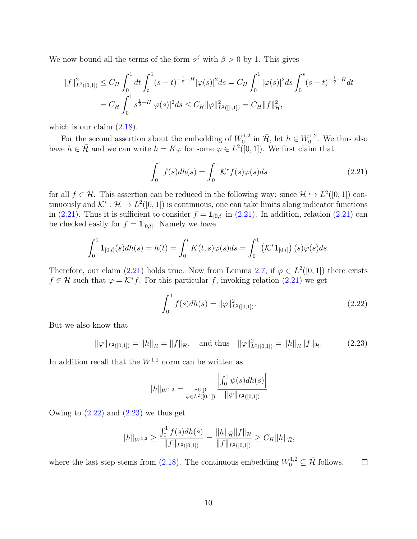We now bound all the terms of the form  $s^{\beta}$  with  $\beta > 0$  by 1. This gives

$$
||f||_{L^{2}([0,1])}^{2} \leq C_{H} \int_{0}^{1} dt \int_{t}^{1} (s-t)^{-\frac{1}{2}-H} |\varphi(s)|^{2} ds = C_{H} \int_{0}^{1} |\varphi(s)|^{2} ds \int_{0}^{s} (s-t)^{-\frac{1}{2}-H} dt
$$
  
=  $C_{H} \int_{0}^{1} s^{\frac{1}{2}-H} |\varphi(s)|^{2} ds \leq C_{H} ||\varphi||_{L^{2}([0,1])}^{2} = C_{H} ||f||_{\mathcal{H}}^{2},$ 

which is our claim  $(2.18)$ .

For the second assertion about the embedding of  $W_0^{1,2}$  $v_0^{1,2}$  in  $\bar{\mathcal{H}}$ , let  $h \in W_0^{1,2}$  $_{0}^{1,2}$ . We thus also have  $h \in \bar{\mathcal{H}}$  and we can write  $h = K\varphi$  for some  $\varphi \in L^2([0,1])$ . We first claim that

<span id="page-9-0"></span>
$$
\int_0^1 f(s)dh(s) = \int_0^1 \mathcal{K}^* f(s)\varphi(s)ds\tag{2.21}
$$

for all  $f \in \mathcal{H}$ . This assertion can be reduced in the following way: since  $\mathcal{H} \hookrightarrow L^2([0,1])$  continuously and  $\mathcal{K}^* : \mathcal{H} \to L^2([0,1])$  is continuous, one can take limits along indicator functions in [\(2.21\)](#page-9-0). Thus it is sufficient to consider  $f = \mathbf{1}_{[0,t]}$  in (2.21). In addition, relation (2.21) can be checked easily for  $f = \mathbf{1}_{[0,t]}$ . Namely we have

$$
\int_0^1 \mathbf{1}_{[0,t]}(s) dh(s) = h(t) = \int_0^t K(t,s) \varphi(s) ds = \int_0^1 \left( \mathcal{K}^* \mathbf{1}_{[0,t]} \right)(s) \varphi(s) ds.
$$

Therefore, our claim [\(2.21\)](#page-9-0) holds true. Now from Lemma [2.7,](#page-7-0) if  $\varphi \in L^2([0,1])$  there exists  $f \in \mathcal{H}$  such that  $\varphi = \mathcal{K}^* f$ . For this particular f, invoking relation [\(2.21\)](#page-9-0) we get

<span id="page-9-1"></span>
$$
\int_0^1 f(s)dh(s) = \|\varphi\|_{L^2([0,1])}^2.
$$
\n(2.22)

But we also know that

<span id="page-9-2"></span>
$$
\|\varphi\|_{L^2([0,1])} = \|h\|_{\bar{\mathcal{H}}} = \|f\|_{\mathcal{H}}, \quad \text{and thus} \quad \|\varphi\|_{L^2([0,1])}^2 = \|h\|_{\bar{\mathcal{H}}}\|f\|_{\mathcal{H}}.
$$
 (2.23)

In addition recall that the  $W^{1,2}$  norm can be written as

$$
||h||_{W^{1,2}} = \sup_{\psi \in L^2([0,1])} \frac{\left| \int_0^1 \psi(s) dh(s) \right|}{||\psi||_{L^2([0,1])}}
$$

Owing to  $(2.22)$  and  $(2.23)$  we thus get

$$
||h||_{W^{1,2}} \ge \frac{\int_0^1 f(s)dh(s)}{||f||_{L^2([0,1])}} = \frac{||h||_{\bar{\mathcal{H}}}||f||_{\mathcal{H}}}{||f||_{L^2([0,1])}} \ge C_H ||h||_{\bar{\mathcal{H}}},
$$

where the last step stems from [\(2.18\)](#page-8-2). The continuous embedding  $W_0^{1,2} \subseteq \overline{\mathcal{H}}$  follows.  $\Box$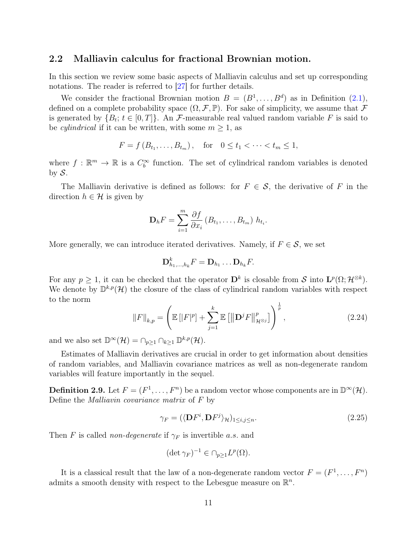#### <span id="page-10-0"></span>2.2 Malliavin calculus for fractional Brownian motion.

In this section we review some basic aspects of Malliavin calculus and set up corresponding notations. The reader is referred to [\[27\]](#page-22-2) for further details.

We consider the fractional Brownian motion  $B = (B^1, \ldots, B^d)$  as in Definition  $(2.1)$ , defined on a complete probability space  $(\Omega, \mathcal{F}, \mathbb{P})$ . For sake of simplicity, we assume that  $\mathcal F$ is generated by  $\{B_t; t \in [0,T]\}$ . An F-measurable real valued random variable F is said to be *cylindrical* if it can be written, with some  $m \geq 1$ , as

$$
F = f(B_{t_1},...,B_{t_m}),
$$
 for  $0 \le t_1 < \cdots < t_m \le 1$ ,

where  $f : \mathbb{R}^m \to \mathbb{R}$  is a  $C_b^{\infty}$  function. The set of cylindrical random variables is denoted by  $S$ .

The Malliavin derivative is defined as follows: for  $F \in \mathcal{S}$ , the derivative of F in the direction  $h \in \mathcal{H}$  is given by

$$
\mathbf{D}_h F = \sum_{i=1}^m \frac{\partial f}{\partial x_i} (B_{t_1}, \dots, B_{t_m}) h_{t_i}.
$$

More generally, we can introduce iterated derivatives. Namely, if  $F \in \mathcal{S}$ , we set

$$
\mathbf{D}_{h_1,\ldots,h_k}^k F = \mathbf{D}_{h_1}\ldots \mathbf{D}_{h_k} F.
$$

For any  $p \geq 1$ , it can be checked that the operator  $\mathbf{D}^k$  is closable from S into  $\mathbf{L}^p(\Omega; \mathcal{H}^{\otimes k})$ . We denote by  $\mathbb{D}^{k,p}(\mathcal{H})$  the closure of the class of cylindrical random variables with respect to the norm

$$
||F||_{k,p} = \left(\mathbb{E}\left[|F|^p\right] + \sum_{j=1}^{k} \mathbb{E}\left[\left\|\mathbf{D}^j F\right\|_{\mathcal{H}^{\otimes j}}^p\right]\right)^{\frac{1}{p}},\tag{2.24}
$$

and we also set  $\mathbb{D}^{\infty}(\mathcal{H}) = \cap_{p \geq 1} \cap_{k \geq 1} \mathbb{D}^{k,p}(\mathcal{H}).$ 

Estimates of Malliavin derivatives are crucial in order to get information about densities of random variables, and Malliavin covariance matrices as well as non-degenerate random variables will feature importantly in the sequel.

**Definition 2.9.** Let  $F = (F^1, \ldots, F^n)$  be a random vector whose components are in  $\mathbb{D}^{\infty}(\mathcal{H})$ . Define the *Malliavin covariance matrix* of  $F$  by

$$
\gamma_F = (\langle \mathbf{D} F^i, \mathbf{D} F^j \rangle_{\mathcal{H}})_{1 \le i,j \le n}.\tag{2.25}
$$

Then F is called non-degenerate if  $\gamma_F$  is invertible a.s. and

$$
(\det \gamma_F)^{-1} \in \cap_{p \ge 1} L^p(\Omega).
$$

It is a classical result that the law of a non-degenerate random vector  $F = (F^1, \ldots, F^n)$ admits a smooth density with respect to the Lebesgue measure on  $\mathbb{R}^n$ .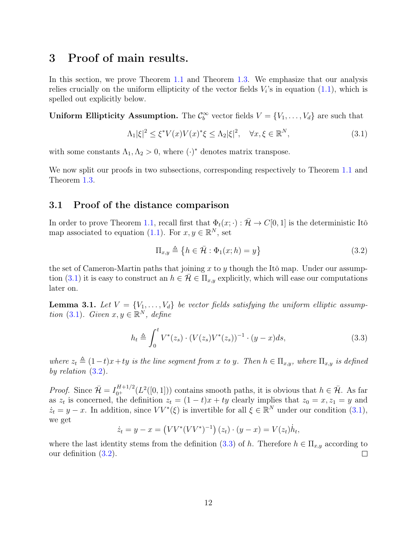# <span id="page-11-0"></span>3 Proof of main results.

In this section, we prove Theorem [1.1](#page-2-0) and Theorem [1.3.](#page-2-2) We emphasize that our analysis relies crucially on the uniform ellipticity of the vector fields  $V_i$ 's in equation  $(1.1)$ , which is spelled out explicitly below.

**Uniform Ellipticity Assumption.** The  $\mathcal{C}_b^{\infty}$  vector fields  $V = \{V_1, \ldots, V_d\}$  are such that

<span id="page-11-2"></span>
$$
\Lambda_1|\xi|^2 \le \xi^* V(x) V(x)^* \xi \le \Lambda_2 |\xi|^2, \quad \forall x, \xi \in \mathbb{R}^N,
$$
\n(3.1)

with some constants  $\Lambda_1, \Lambda_2 > 0$ , where  $(\cdot)^*$  denotes matrix transpose.

We now split our proofs in two subsections, corresponding respectively to Theorem [1.1](#page-2-0) and Theorem [1.3.](#page-2-2)

#### <span id="page-11-1"></span>3.1 Proof of the distance comparison

In order to prove Theorem [1.1,](#page-2-0) recall first that  $\Phi_t(x; \cdot) : \overline{\mathcal{H}} \to C[0, 1]$  is the deterministic Itô map associated to equation [\(1.1\)](#page-1-1). For  $x, y \in \mathbb{R}^N$ , set

<span id="page-11-3"></span>
$$
\Pi_{x,y} \triangleq \{ h \in \bar{\mathcal{H}} : \Phi_1(x; h) = y \}
$$
\n(3.2)

the set of Cameron-Martin paths that joining  $x$  to  $y$  though the Itô map. Under our assump-tion [\(3.1\)](#page-11-2) it is easy to construct an  $h \in \mathcal{H} \in \Pi_{x,y}$  explicitly, which will ease our computations later on.

<span id="page-11-5"></span>**Lemma 3.1.** Let  $V = \{V_1, \ldots, V_d\}$  be vector fields satisfying the uniform elliptic assump-tion [\(3.1\)](#page-11-2). Given  $x, y \in \mathbb{R}^N$ , define

<span id="page-11-4"></span>
$$
h_t \triangleq \int_0^t V^*(z_s) \cdot (V(z_s)V^*(z_s))^{-1} \cdot (y-x)ds,\tag{3.3}
$$

where  $z_t \triangleq (1-t)x+ty$  is the line segment from x to y. Then  $h \in \Pi_{x,y}$ , where  $\Pi_{x,y}$  is defined by relation [\(3.2\)](#page-11-3).

*Proof.* Since  $\bar{\mathcal{H}} = I_{0^+}^{H+1/2}(L^2([0,1]))$  contains smooth paths, it is obvious that  $h \in \bar{\mathcal{H}}$ . As far as  $z_t$  is concerned, the definition  $z_t = (1-t)x + ty$  clearly implies that  $z_0 = x, z_1 = y$  and  $\dot{z}_t = y - x$ . In addition, since  $VV^*(\xi)$  is invertible for all  $\xi \in \mathbb{R}^N$  under our condition  $(3.1)$ , we get

 $\dot{z}_t = y - x = (VV^*(VV^*)^{-1})(z_t) \cdot (y - x) = V(z_t)\dot{h}_t,$ 

where the last identity stems from the definition [\(3.3\)](#page-11-4) of h. Therefore  $h \in \Pi_{x,y}$  according to our definition [\(3.2\)](#page-11-3).  $\Box$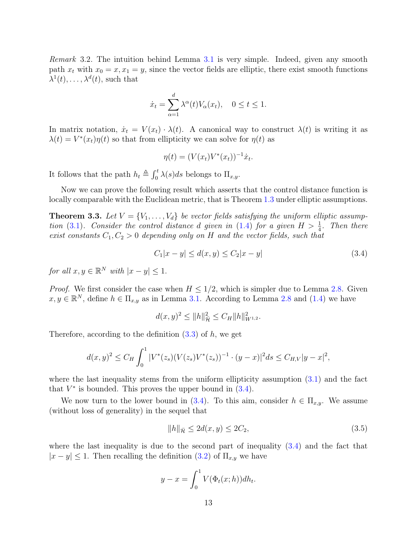Remark 3.2. The intuition behind Lemma [3.1](#page-11-5) is very simple. Indeed, given any smooth path  $x_t$  with  $x_0 = x, x_1 = y$ , since the vector fields are elliptic, there exist smooth functions  $\lambda^1(t), \ldots, \lambda^d(t)$ , such that

$$
\dot{x}_t = \sum_{\alpha=1}^d \lambda^{\alpha}(t) V_{\alpha}(x_t), \quad 0 \le t \le 1.
$$

In matrix notation,  $\dot{x}_t = V(x_t) \cdot \lambda(t)$ . A canonical way to construct  $\lambda(t)$  is writing it as  $\lambda(t) = V^*(x_t)\eta(t)$  so that from ellipticity we can solve for  $\eta(t)$  as

$$
\eta(t) = (V(x_t)V^*(x_t))^{-1}\dot{x}_t.
$$

It follows that the path  $h_t \triangleq \int_0^t \lambda(s)ds$  belongs to  $\Pi_{x,y}$ .

Now we can prove the following result which asserts that the control distance function is locally comparable with the Euclidean metric, that is Theorem [1.3](#page-2-2) under elliptic assumptions.

<span id="page-12-2"></span>**Theorem 3.3.** Let  $V = \{V_1, \ldots, V_d\}$  be vector fields satisfying the uniform elliptic assump-tion [\(3.1\)](#page-11-2). Consider the control distance d given in [\(1.4\)](#page-1-4) for a given  $H > \frac{1}{4}$ . Then there exist constants  $C_1, C_2 > 0$  depending only on H and the vector fields, such that

<span id="page-12-0"></span>
$$
C_1|x - y| \le d(x, y) \le C_2|x - y| \tag{3.4}
$$

for all  $x, y \in \mathbb{R}^N$  with  $|x - y| \leq 1$ .

*Proof.* We first consider the case when  $H \leq 1/2$ , which is simpler due to Lemma [2.8.](#page-8-3) Given  $x, y \in \mathbb{R}^N$ , define  $h \in \Pi_{x,y}$  as in Lemma [3.1.](#page-11-5) According to Lemma [2.8](#page-8-3) and [\(1.4\)](#page-1-4) we have

$$
d(x,y)^2 \le ||h||_{{\mathcal{H}}}^2 \le C_H ||h||_{W^{1,2}}^2.
$$

Therefore, according to the definition  $(3.3)$  of h, we get

$$
d(x,y)^2 \le C_H \int_0^1 |V^*(z_s)(V(z_s)V^*(z_s))^{-1} \cdot (y-x)|^2 ds \le C_{H,V}|y-x|^2,
$$

where the last inequality stems from the uniform ellipticity assumption  $(3.1)$  and the fact that  $V^*$  is bounded. This proves the upper bound in  $(3.4)$ .

We now turn to the lower bound in [\(3.4\)](#page-12-0). To this aim, consider  $h \in \Pi_{x,y}$ . We assume (without loss of generality) in the sequel that

<span id="page-12-1"></span>
$$
||h||_{\bar{\mathcal{H}}} \le 2d(x, y) \le 2C_2,\tag{3.5}
$$

where the last inequality is due to the second part of inequality  $(3.4)$  and the fact that  $|x - y| \leq 1$ . Then recalling the definition [\(3.2\)](#page-11-3) of  $\Pi_{x,y}$  we have

$$
y - x = \int_0^1 V(\Phi_t(x; h)) dh_t.
$$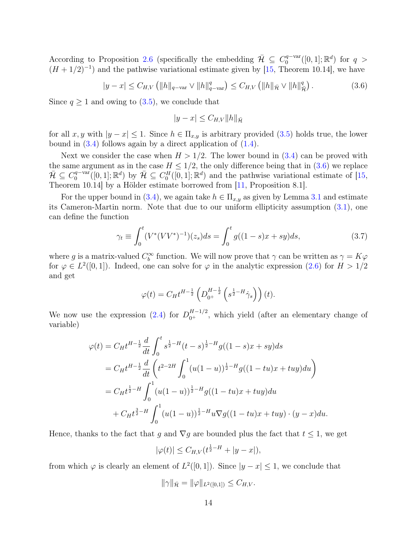According to Proposition [2.6](#page-7-1) (specifically the embedding  $\bar{\mathcal{H}} \subseteq C_0^{q-var}$  $C_0^{q-var}([0,1];\mathbb{R}^d)$  for  $q >$  $(H + 1/2)^{-1}$  and the pathwise variational estimate given by [\[15,](#page-21-0) Theorem 10.14], we have

<span id="page-13-0"></span>
$$
|y - x| \le C_{H,V} \left( \|h\|_{q - \text{var}} \vee \|h\|_{q - \text{var}}^q \right) \le C_{H,V} \left( \|h\|_{\bar{\mathcal{H}}} \vee \|h\|_{\bar{\mathcal{H}}}^q \right). \tag{3.6}
$$

Since  $q \ge 1$  and owing to  $(3.5)$ , we conclude that

<span id="page-13-1"></span>
$$
|y - x| \leq C_{H,V} ||h||_{\bar{\mathcal{H}}}
$$

for all x, y with  $|y-x| \leq 1$ . Since  $h \in \Pi_{x,y}$  is arbitrary provided [\(3.5\)](#page-12-1) holds true, the lower bound in  $(3.4)$  follows again by a direct application of  $(1.4)$ .

Next we consider the case when  $H > 1/2$ . The lower bound in  $(3.4)$  can be proved with the same argument as in the case  $H \leq 1/2$ , the only difference being that in  $(3.6)$  we replace  $\bar{\mathcal{H}} \subseteq C_0^{q - \text{var}}$  $\mathbb{Q}_0^{q-\text{var}}([0,1];\mathbb{R}^d)$  by  $\overline{\mathcal{H}} \subseteq C_0^H([0,1];\mathbb{R}^d)$  and the pathwise variational estimate of [\[15,](#page-21-0) Theorem 10.14] by a Hölder estimate borrowed from [\[11,](#page-21-10) Proposition 8.1].

For the upper bound in [\(3.4\)](#page-12-0), we again take  $h \in \Pi_{x,y}$  as given by Lemma [3.1](#page-11-5) and estimate its Cameron-Martin norm. Note that due to our uniform ellipticity assumption [\(3.1\)](#page-11-2), one can define the function

$$
\gamma_t \equiv \int_0^t (V^*(VV^*)^{-1})(z_s)ds = \int_0^t g((1-s)x + sy)ds,\tag{3.7}
$$

where g is a matrix-valued  $C_b^{\infty}$  function. We will now prove that  $\gamma$  can be written as  $\gamma = K\varphi$ for  $\varphi \in L^2([0,1])$ . Indeed, one can solve for  $\varphi$  in the analytic expression [\(2.6\)](#page-4-4) for  $H > 1/2$ and get

$$
\varphi(t) = C_H t^{H - \frac{1}{2}} \left( D_{0^+}^{H - \frac{1}{2}} \left( s^{\frac{1}{2} - H} \dot{\gamma}_s \right) \right) (t).
$$

We now use the expression [\(2.4\)](#page-4-2) for  $D_{0^+}^{H-1/2}$ , which yield (after an elementary change of variable)

$$
\varphi(t) = C_H t^{H - \frac{1}{2}} \frac{d}{dt} \int_0^t s^{\frac{1}{2} - H} (t - s)^{\frac{1}{2} - H} g((1 - s)x + sy) ds
$$
  
\n
$$
= C_H t^{H - \frac{1}{2}} \frac{d}{dt} \left( t^{2 - 2H} \int_0^1 (u(1 - u))^{\frac{1}{2} - H} g((1 - tu)x + tuy) du \right)
$$
  
\n
$$
= C_H t^{\frac{1}{2} - H} \int_0^1 (u(1 - u))^{\frac{1}{2} - H} g((1 - tu)x + tuy) du
$$
  
\n
$$
+ C_H t^{\frac{3}{2} - H} \int_0^1 (u(1 - u))^{\frac{1}{2} - H} u \nabla g((1 - tu)x + tuy) \cdot (y - x) du.
$$

Hence, thanks to the fact that g and  $\nabla g$  are bounded plus the fact that  $t \leq 1$ , we get

$$
|\varphi(t)| \le C_{H,V}(t^{\frac{1}{2}-H} + |y-x|),
$$

from which  $\varphi$  is clearly an element of  $L^2([0,1])$ . Since  $|y-x| \leq 1$ , we conclude that

$$
\|\gamma\|_{\bar{\mathcal{H}}} = \|\varphi\|_{L^2([0,1])} \leq C_{H,V}.
$$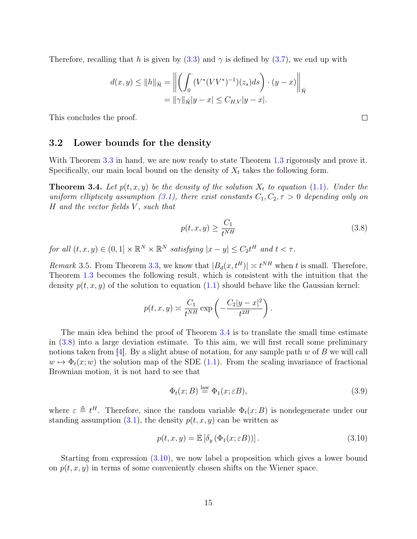Therefore, recalling that h is given by  $(3.3)$  and  $\gamma$  is defined by  $(3.7)$ , we end up with

$$
d(x,y) \le ||h||_{\bar{\mathcal{H}}} = \left\| \left( \int_0^{\cdot} (V^*(VV^*)^{-1})(z_s)ds \right) \cdot (y-x) \right\|_{\bar{\mathcal{H}}}
$$
  
=  $||\gamma||_{\bar{\mathcal{H}}}|y-x| \le C_{H,V}|y-x|$ .

This concludes the proof.

#### <span id="page-14-0"></span>3.2 Lower bounds for the density

With Theorem [3.3](#page-12-2) in hand, we are now ready to state Theorem [1.3](#page-2-2) rigorously and prove it. Specifically, our main local bound on the density of  $X_t$  takes the following form.

<span id="page-14-1"></span>**Theorem 3.4.** Let  $p(t, x, y)$  be the density of the solution  $X_t$  to equation [\(1.1\)](#page-1-1). Under the uniform ellipticity assumption [\(3.1\)](#page-11-2), there exist constants  $C_1, C_2, \tau > 0$  depending only on H and the vector fields V , such that

$$
p(t, x, y) \ge \frac{C_1}{t^{NH}}\tag{3.8}
$$

for all  $(t, x, y) \in (0, 1] \times \mathbb{R}^N \times \mathbb{R}^N$  satisfying  $|x - y| \leq C_2 t^H$  and  $t < \tau$ .

*Remark* 3.5. From Theorem [3.3,](#page-12-2) we know that  $|B_d(x, t^H)| \approx t^{NH}$  when t is small. Therefore, Theorem [1.3](#page-2-2) becomes the following result, which is consistent with the intuition that the density  $p(t, x, y)$  of the solution to equation [\(1.1\)](#page-1-1) should behave like the Gaussian kernel:

$$
p(t, x, y) \approx \frac{C_1}{t^{NH}} \exp\left(-\frac{C_2|y-x|^2}{t^{2H}}\right).
$$

The main idea behind the proof of Theorem [3.4](#page-14-1) is to translate the small time estimate in [\(3.8\)](#page-14-2) into a large deviation estimate. To this aim, we will first recall some preliminary notions taken from [\[4\]](#page-21-5). By a slight abuse of notation, for any sample path w of B we will call  $w \mapsto \Phi_t(x;w)$  the solution map of the SDE [\(1.1\)](#page-1-1). From the scaling invariance of fractional Brownian motion, it is not hard to see that

<span id="page-14-4"></span>
$$
\Phi_t(x;B) \stackrel{\text{law}}{=} \Phi_1(x;\varepsilon B),\tag{3.9}
$$

where  $\varepsilon \triangleq t^H$ . Therefore, since the random variable  $\Phi_t(x;B)$  is nondegenerate under our standing assumption  $(3.1)$ , the density  $p(t, x, y)$  can be written as

<span id="page-14-3"></span>
$$
p(t, x, y) = \mathbb{E} \left[ \delta_y \left( \Phi_1(x; \varepsilon B) \right) \right]. \tag{3.10}
$$

Starting from expression [\(3.10\)](#page-14-3), we now label a proposition which gives a lower bound on  $p(t, x, y)$  in terms of some conveniently chosen shifts on the Wiener space.

<span id="page-14-2"></span> $\Box$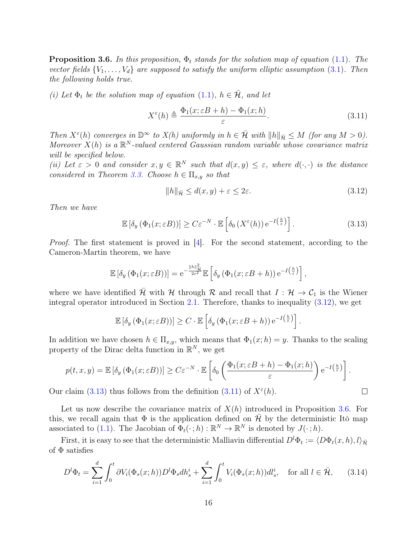<span id="page-15-3"></span>**Proposition 3.6.** In this proposition,  $\Phi_t$  stands for the solution map of equation [\(1.1\)](#page-1-1). The vector fields  $\{V_1, \ldots, V_d\}$  are supposed to satisfy the uniform elliptic assumption [\(3.1\)](#page-11-2). Then the following holds true.

(i) Let  $\Phi_t$  be the solution map of equation [\(1.1\)](#page-1-1),  $h \in \bar{\mathcal{H}}$ , and let

<span id="page-15-2"></span>
$$
X^{\varepsilon}(h) \triangleq \frac{\Phi_1(x; \varepsilon B + h) - \Phi_1(x; h)}{\varepsilon}.
$$
\n(3.11)

Then  $X^{\varepsilon}(h)$  converges in  $\mathbb{D}^{\infty}$  to  $X(h)$  uniformly in  $h \in \overline{\mathcal{H}}$  with  $||h||_{\overline{\mathcal{H}}} \leq M$  (for any  $M > 0$ ). Moreover  $X(h)$  is a  $\mathbb{R}^N$ -valued centered Gaussian random variable whose covariance matrix will be specified below.

(ii) Let  $\varepsilon > 0$  and consider  $x, y \in \mathbb{R}^N$  such that  $d(x, y) \leq \varepsilon$ , where  $d(\cdot, \cdot)$  is the distance considered in Theorem [3.3.](#page-12-2) Choose  $h \in \Pi_{x,y}$  so that

<span id="page-15-0"></span>
$$
||h||_{\bar{\mathcal{H}}} \le d(x, y) + \varepsilon \le 2\varepsilon. \tag{3.12}
$$

<span id="page-15-4"></span><span id="page-15-1"></span> $\Box$ 

Then we have

$$
\mathbb{E}\left[\delta_y\left(\Phi_1(x;\varepsilon B)\right)\right] \ge C\varepsilon^{-N} \cdot \mathbb{E}\left[\delta_0\left(X^{\varepsilon}(h)\right) e^{-I\left(\frac{h}{\varepsilon}\right)}\right].\tag{3.13}
$$

Proof. The first statement is proved in [\[4\]](#page-21-5). For the second statement, according to the Cameron-Martin theorem, we have

$$
\mathbb{E}\left[\delta_y\left(\Phi_1(x;\varepsilon B)\right)\right] = e^{-\frac{\|h\|_{\mathcal{H}}^2}{2\varepsilon^2}} \mathbb{E}\left[\delta_y\left(\Phi_1(x;\varepsilon B + h)\right)e^{-I\left(\frac{h}{\varepsilon}\right)}\right],
$$

where we have identified  $\bar{\mathcal{H}}$  with H through R and recall that  $I : \mathcal{H} \to \mathcal{C}_1$  is the Wiener integral operator introduced in Section [2.1.](#page-3-1) Therefore, thanks to inequality [\(3.12\)](#page-15-0), we get

$$
\mathbb{E}\left[\delta_y\left(\Phi_1(x;\varepsilon B)\right)\right] \geq C \cdot \mathbb{E}\left[\delta_y\left(\Phi_1(x;\varepsilon B + h)\right)e^{-I\left(\frac{h}{\varepsilon}\right)}\right].
$$

In addition we have chosen  $h \in \Pi_{x,y}$ , which means that  $\Phi_1(x; h) = y$ . Thanks to the scaling property of the Dirac delta function in  $\mathbb{R}^N$ , we get

$$
p(t, x, y) = \mathbb{E}\left[\delta_y\left(\Phi_1(x; \varepsilon B)\right)\right] \ge C\varepsilon^{-N} \cdot \mathbb{E}\left[\delta_0\left(\frac{\Phi_1(x; \varepsilon B + h) - \Phi_1(x; h)}{\varepsilon}\right) e^{-I\left(\frac{h}{\varepsilon}\right)}\right].
$$

Our claim [\(3.13\)](#page-15-1) thus follows from the definition [\(3.11\)](#page-15-2) of  $X^{\varepsilon}(h)$ .

Let us now describe the covariance matrix of  $X(h)$  introduced in Proposition [3.6.](#page-15-3) For this, we recall again that  $\Phi$  is the application defined on  $\bar{\mathcal{H}}$  by the deterministic Itô map associated to [\(1.1\)](#page-1-1). The Jacobian of  $\Phi_t(\cdot;h) : \mathbb{R}^N \to \mathbb{R}^N$  is denoted by  $J(\cdot;h)$ .

First, it is easy to see that the deterministic Malliavin differential  $D^l \Phi_t := \langle D\Phi_t(x, h), l \rangle_{\bar{\mathcal{H}}}$ of  $\Phi$  satisfies

$$
D^{l}\Phi_{t} = \sum_{i=1}^{d} \int_{0}^{t} \partial V_{i}(\Phi_{s}(x;h))D^{l}\Phi_{s}dh_{s}^{i} + \sum_{i=1}^{d} \int_{0}^{t} V_{i}(\Phi_{s}(x;h))dl_{s}^{i}, \text{ for all } l \in \bar{\mathcal{H}}, \qquad (3.14)
$$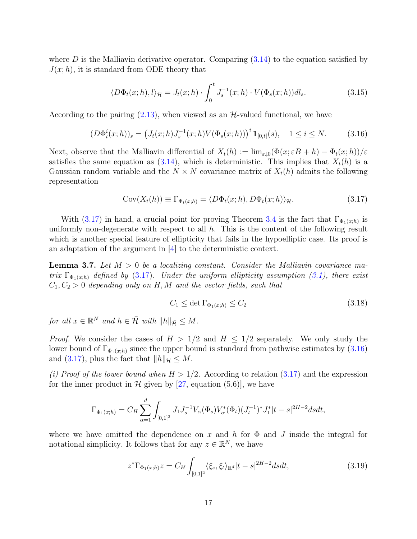where  $D$  is the Malliavin derivative operator. Comparing  $(3.14)$  to the equation satisfied by  $J(x; h)$ , it is standard from ODE theory that

$$
\langle D\Phi_t(x;h),l\rangle_{\bar{\mathcal{H}}} = J_t(x;h) \cdot \int_0^t J_s^{-1}(x;h) \cdot V(\Phi_s(x;h))dl_s.
$$
 (3.15)

According to the pairing  $(2.13)$ , when viewed as an  $H$ -valued functional, we have

$$
(D\Phi_t^i(x;h))_s = \left(J_t(x;h)J_s^{-1}(x;h)V(\Phi_s(x;h))\right)^i \mathbf{1}_{[0,t]}(s), \quad 1 \le i \le N. \tag{3.16}
$$

Next, observe that the Malliavin differential of  $X_t(h) := \lim_{\varepsilon \downarrow 0} (\Phi(x; \varepsilon B + h) - \Phi_t(x; h))/\varepsilon$ satisfies the same equation as  $(3.14)$ , which is deterministic. This implies that  $X_t(h)$  is a Gaussian random variable and the  $N \times N$  covariance matrix of  $X_t(h)$  admits the following representation

<span id="page-16-1"></span>
$$
Cov(X_t(h)) \equiv \Gamma_{\Phi_t(x;h)} = \langle D\Phi_t(x;h), D\Phi_t(x;h) \rangle_{\mathcal{H}}.
$$
\n(3.17)

With [\(3.17\)](#page-16-0) in hand, a crucial point for proving Theorem [3.4](#page-14-1) is the fact that  $\Gamma_{\Phi_1(x;h)}$  is uniformly non-degenerate with respect to all  $h$ . This is the content of the following result which is another special feature of ellipticity that fails in the hypoelliptic case. Its proof is an adaptation of the argument in [\[4\]](#page-21-5) to the deterministic context.

<span id="page-16-4"></span>**Lemma 3.7.** Let  $M > 0$  be a localizing constant. Consider the Malliavin covariance matrix  $\Gamma_{\Phi_1(x;h)}$  defined by [\(3.17\)](#page-16-0). Under the uniform ellipticity assumption [\(3.1\)](#page-11-2), there exist  $C_1, C_2 > 0$  depending only on H, M and the vector fields, such that

<span id="page-16-3"></span><span id="page-16-0"></span>
$$
C_1 \le \det \Gamma_{\Phi_1(x;h)} \le C_2 \tag{3.18}
$$

for all  $x \in \mathbb{R}^N$  and  $h \in \overline{\mathcal{H}}$  with  $||h||_{\overline{\mathcal{H}}} \leq M$ .

*Proof.* We consider the cases of  $H > 1/2$  and  $H \leq 1/2$  separately. We only study the lower bound of  $\Gamma_{\Phi_1(x;h)}$  since the upper bound is standard from pathwise estimates by [\(3.16\)](#page-16-1) and [\(3.17\)](#page-16-0), plus the fact that  $||h||_{\mathcal{H}} \leq M$ .

(i) Proof of the lower bound when  $H > 1/2$ . According to relation [\(3.17\)](#page-16-0) and the expression for the inner product in  $\mathcal H$  given by [\[27,](#page-22-2) equation (5.6)], we have

$$
\Gamma_{\Phi_1(x;h)} = C_H \sum_{\alpha=1}^d \int_{[0,1]^2} J_1 J_s^{-1} V_{\alpha}(\Phi_s) V_{\alpha}^*(\Phi_t) (J_t^{-1})^* J_1^* |t-s|^{2H-2} ds dt,
$$

where we have omitted the dependence on x and h for  $\Phi$  and J inside the integral for notational simplicity. It follows that for any  $z \in \mathbb{R}^N$ , we have

<span id="page-16-2"></span>
$$
z^* \Gamma_{\Phi_1(x;h)} z = C_H \int_{[0,1]^2} \langle \xi_s, \xi_t \rangle_{\mathbb{R}^d} |t - s|^{2H-2} ds dt, \tag{3.19}
$$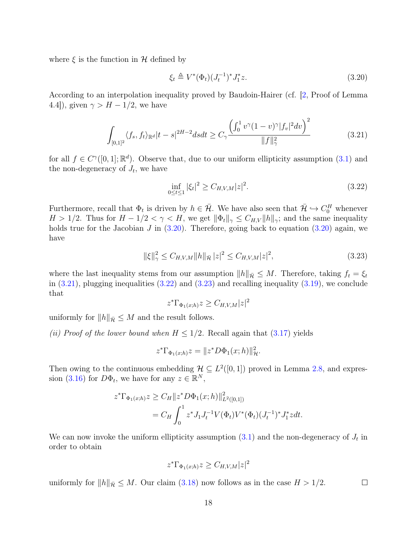where  $\xi$  is the function in  $H$  defined by

<span id="page-17-0"></span>
$$
\xi_t \triangleq V^*(\Phi_t)(J_t^{-1})^* J_1^* z. \tag{3.20}
$$

According to an interpolation inequality proved by Baudoin-Hairer (cf. [\[2,](#page-20-0) Proof of Lemma 4.4]), given  $\gamma > H - 1/2$ , we have

<span id="page-17-1"></span>
$$
\int_{[0,1]^2} \langle f_s, f_t \rangle_{\mathbb{R}^d} |t-s|^{2H-2} ds dt \ge C_\gamma \frac{\left(\int_0^1 v^\gamma (1-v)^\gamma |f_v|^2 dv\right)^2}{\|f\|_\gamma^2} \tag{3.21}
$$

for all  $f \in C^{\gamma}([0,1]; \mathbb{R}^d)$ . Observe that, due to our uniform ellipticity assumption [\(3.1\)](#page-11-2) and the non-degeneracy of  $J_t$ , we have

<span id="page-17-2"></span>
$$
\inf_{0 \le t \le 1} |\xi_t|^2 \ge C_{H,V,M}|z|^2. \tag{3.22}
$$

Furthermore, recall that  $\Phi_t$  is driven by  $h \in \bar{\mathcal{H}}$ . We have also seen that  $\bar{\mathcal{H}} \hookrightarrow C_0^H$  whenever  $H > 1/2$ . Thus for  $H - 1/2 < \gamma < H$ , we get  $\|\Phi_t\|_{\gamma} \leq C_{H,V} \|h\|_{\gamma}$ ; and the same inequality holds true for the Jacobian J in  $(3.20)$ . Therefore, going back to equation  $(3.20)$  again, we have

$$
\|\xi\|_{\gamma}^2 \le C_{H,V,M} \|h\|_{\bar{\mathcal{H}}}|z|^2 \le C_{H,V,M}|z|^2,
$$
\n(3.23)

where the last inequality stems from our assumption  $||h||_{\overline{\mathcal{H}}} \leq M$ . Therefore, taking  $f_t = \xi_t$ in  $(3.21)$ , plugging inequalities  $(3.22)$  and  $(3.23)$  and recalling inequality  $(3.19)$ , we conclude that

<span id="page-17-3"></span>
$$
z^*\Gamma_{\Phi_1(x;h)}z \geq C_{H,V,M}|z|^2
$$

uniformly for  $||h||_{\bar{\mathcal{H}}} \leq M$  and the result follows.

(ii) Proof of the lower bound when  $H \leq 1/2$ . Recall again that [\(3.17\)](#page-16-0) yields

$$
z^*\Gamma_{\Phi_1(x;h)}z = ||z^*D\Phi_1(x;h)||_{{\mathcal{H}}}^2.
$$

Then owing to the continuous embedding  $\mathcal{H} \subseteq L^2([0,1])$  proved in Lemma [2.8,](#page-8-3) and expres-sion [\(3.16\)](#page-16-1) for  $D\Phi_t$ , we have for any  $z \in \mathbb{R}^N$ ,

$$
z^*\Gamma_{\Phi_1(x;h)}z \ge C_H ||z^*D\Phi_1(x;h)||^2_{L^2([0,1])}
$$
  
=  $C_H \int_0^1 z^* J_1 J_t^{-1} V(\Phi_t) V^*(\Phi_t) (J_t^{-1})^* J_1^* z dt.$ 

We can now invoke the uniform ellipticity assumption  $(3.1)$  and the non-degeneracy of  $J_t$  in order to obtain

$$
z^*\Gamma_{\Phi_1(x;h)}z \geq C_{H,V,M}|z|^2
$$

uniformly for  $||h||_{\bar{\mathcal{H}}} \leq M$ . Our claim [\(3.18\)](#page-16-3) now follows as in the case  $H > 1/2$ .  $\Box$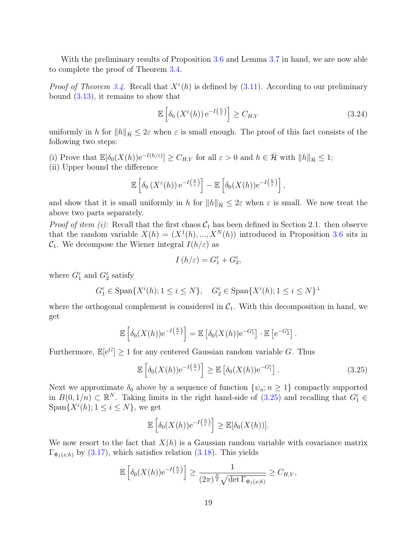With the preliminary results of Proposition [3.6](#page-15-3) and Lemma [3.7](#page-16-4) in hand, we are now able to complete the proof of Theorem [3.4.](#page-14-1)

*Proof of Theorem [3.4.](#page-14-1)* Recall that  $X^{\varepsilon}(h)$  is defined by [\(3.11\)](#page-15-2). According to our preliminary bound [\(3.13\)](#page-15-1), it remains to show that

<span id="page-18-1"></span>
$$
\mathbb{E}\left[\delta_0\left(X^{\varepsilon}(h)\right)e^{-I\left(\frac{h}{\varepsilon}\right)}\right] \ge C_{H,V} \tag{3.24}
$$

uniformly in h for  $||h||_{\bar{\mathcal{H}}} \leq 2\varepsilon$  when  $\varepsilon$  is small enough. The proof of this fact consists of the following two steps:

- (i) Prove that  $\mathbb{E}[\delta_0(X(h))e^{-I(h/\varepsilon)}] \geq C_{H,V}$  for all  $\varepsilon > 0$  and  $h \in \bar{\mathcal{H}}$  with  $||h||_{\bar{\mathcal{H}}} \leq 1$ ;
- (ii) Upper bound the difference

$$
\mathbb{E}\left[\delta_0\left(X^{\varepsilon}(h)\right)e^{-I\left(\frac{h}{\varepsilon}\right)}\right] - \mathbb{E}\left[\delta_0(X(h))e^{-I\left(\frac{h}{\varepsilon}\right)}\right],
$$

and show that it is small uniformly in h for  $||h||_{\bar{\mathcal{H}}} \leq 2\varepsilon$  when  $\varepsilon$  is small. We now treat the above two parts separately.

*Proof of item (i):* Recall that the first chaos  $C_1$  has been defined in Section 2.1. then observe that the random variable  $X(h) = (X^1(h), ..., X^N(h))$  introduced in Proposition [3.6](#page-15-3) sits in  $C_1$ . We decompose the Wiener integral  $I(h/\varepsilon)$  as

<span id="page-18-0"></span>
$$
I\left( h/\varepsilon\right) =G_{1}^{\varepsilon}+G_{2}^{\varepsilon},
$$

where  $G_1^{\varepsilon}$  and  $G_2^{\varepsilon}$  satisfy

$$
G_1^{\varepsilon} \in \text{Span}\{X^i(h); 1 \le i \le N\}, \quad G_2^{\varepsilon} \in \text{Span}\{X^i(h); 1 \le i \le N\}^{\perp}
$$

where the orthogonal complement is considered in  $C_1$ . With this decomposition in hand, we get

$$
\mathbb{E}\left[\delta_0(X(h))e^{-I(\frac{h}{\varepsilon})}\right] = \mathbb{E}\left[\delta_0(X(h))e^{-G_1^{\varepsilon}}\right] \cdot \mathbb{E}\left[e^{-G_2^{\varepsilon}}\right].
$$

Furthermore,  $\mathbb{E}[e^G] \geq 1$  for any centered Gaussian random variable G. Thus

$$
\mathbb{E}\left[\delta_0(X(h))e^{-I\left(\frac{h}{\varepsilon}\right)}\right] \ge \mathbb{E}\left[\delta_0(X(h))e^{-G_1^{\varepsilon}}\right].\tag{3.25}
$$

Next we approximate  $\delta_0$  above by a sequence of function  $\{\psi_n; n \geq 1\}$  compactly supported in  $B(0, 1/n) \subset \mathbb{R}^N$ . Taking limits in the right hand-side of  $(3.25)$  and recalling that  $G_1^{\varepsilon} \in$ Span $\{X^{i}(h); 1 \leq i \leq N\}$ , we get

$$
\mathbb{E}\left[\delta_0(X(h))\mathrm{e}^{-I\left(\frac{h}{\varepsilon}\right)}\right] \geq \mathbb{E}[\delta_0(X(h))].
$$

We now resort to the fact that  $X(h)$  is a Gaussian random variable with covariance matrix  $\Gamma_{\Phi_1(x;h)}$  by  $(3.17)$ , which satisfies relation  $(3.18)$ . This yields

$$
\mathbb{E}\left[\delta_0(X(h))e^{-I\left(\frac{h}{\varepsilon}\right)}\right] \geq \frac{1}{(2\pi)^{\frac{N}{2}}\sqrt{\det\Gamma_{\Phi_1(x;h)}}} \geq C_{H,V},
$$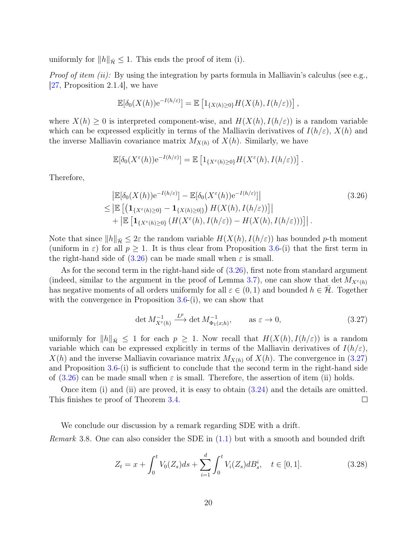uniformly for  $||h||_{\overline{\mathcal{H}}} \leq 1$ . This ends the proof of item (i).

*Proof of item (ii):* By using the integration by parts formula in Malliavin's calculus (see e.g., [\[27,](#page-22-2) Proposition 2.1.4], we have

$$
\mathbb{E}[\delta_0(X(h))e^{-I(h/\varepsilon)}] = \mathbb{E}\left[1_{\{X(h)\geq 0\}}H(X(h), I(h/\varepsilon))\right],
$$

where  $X(h) \geq 0$  is interpreted component-wise, and  $H(X(h), I(h/\varepsilon))$  is a random variable which can be expressed explicitly in terms of the Malliavin derivatives of  $I(h/\varepsilon), X(h)$  and the inverse Malliavin covariance matrix  $M_{X(h)}$  of  $X(h)$ . Similarly, we have

<span id="page-19-0"></span>
$$
\mathbb{E}[\delta_0(X^{\varepsilon}(h))e^{-I(h/\varepsilon)}] = \mathbb{E}\left[1_{\{X^{\varepsilon}(h)\geq 0\}}H(X^{\varepsilon}(h), I(h/\varepsilon))\right].
$$

Therefore,

$$
\begin{split} &\left| \mathbb{E}[\delta_0(X(h))e^{-I(h/\varepsilon)}] - \mathbb{E}[\delta_0(X^{\varepsilon}(h))e^{-I(h/\varepsilon)}] \right| \\ &\leq \left| \mathbb{E}\left[ \left( \mathbf{1}_{\{X^{\varepsilon}(h)\geq 0\}} - \mathbf{1}_{\{X(h)\geq 0\}} \right) H(X(h), I(h/\varepsilon)) \right] \right| \\ &+ \left| \mathbb{E}\left[ \mathbf{1}_{\{X^{\varepsilon}(h)\geq 0\}} \left( H(X^{\varepsilon}(h), I(h/\varepsilon)) - H(X(h), I(h/\varepsilon)) \right) \right] \right|. \end{split} \tag{3.26}
$$

Note that since  $||h||_{\bar{\mathcal{H}}} \leq 2\varepsilon$  the random variable  $H(X(h), I(h/\varepsilon))$  has bounded p-th moment (uniform in  $\varepsilon$ ) for all  $p \geq 1$ . It is thus clear from Proposition [3.6-](#page-15-3)(i) that the first term in the right-hand side of  $(3.26)$  can be made small when  $\varepsilon$  is small.

As for the second term in the right-hand side of  $(3.26)$ , first note from standard argument (indeed, similar to the argument in the proof of Lemma [3.7\)](#page-16-4), one can show that det  $M_{X^{\varepsilon}(h)}$ has negative moments of all orders uniformly for all  $\varepsilon \in (0,1)$  and bounded  $h \in \mathcal{H}$ . Together with the convergence in Proposition  $3.6-(i)$  $3.6-(i)$ , we can show that

<span id="page-19-1"></span>
$$
\det M_{X^{\varepsilon}(h)}^{-1} \xrightarrow{L^p} \det M_{\Phi_1(x,h)}^{-1}, \qquad \text{as } \varepsilon \to 0,
$$
\n(3.27)

uniformly for  $||h||_{\bar{\mathcal{H}}} \leq 1$  for each  $p \geq 1$ . Now recall that  $H(X(h), I(h/\varepsilon))$  is a random variable which can be expressed explicitly in terms of the Malliavin derivatives of  $I(h/\varepsilon)$ ,  $X(h)$  and the inverse Malliavin covariance matrix  $M_{X(h)}$  of  $X(h)$ . The convergence in [\(3.27\)](#page-19-1) and Proposition [3.6-](#page-15-3)(i) is sufficient to conclude that the second term in the right-hand side of  $(3.26)$  can be made small when  $\varepsilon$  is small. Therefore, the assertion of item (ii) holds.

Once item (i) and (ii) are proved, it is easy to obtain [\(3.24\)](#page-18-1) and the details are omitted. This finishes te proof of Theorem [3.4.](#page-14-1)  $\Box$ 

We conclude our discussion by a remark regarding SDE with a drift. *Remark* 3.8. One can also consider the SDE in  $(1.1)$  but with a smooth and bounded drift

<span id="page-19-2"></span>
$$
Z_t = x + \int_0^t V_0(Z_s)ds + \sum_{i=1}^d \int_0^t V_i(Z_s)dB_s^i, \quad t \in [0, 1].
$$
 (3.28)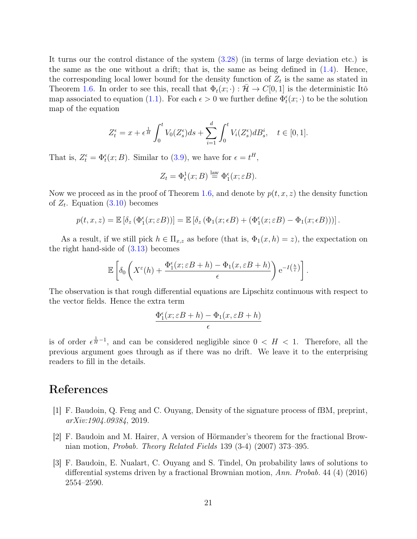It turns our the control distance of the system [\(3.28\)](#page-19-2) (in terms of large deviation etc.) is the same as the one without a drift; that is, the same as being defined in  $(1.4)$ . Hence, the corresponding local lower bound for the density function of  $Z_t$  is the same as stated in Theorem [1.6.](#page-2-1) In order to see this, recall that  $\Phi_t(x; \cdot) : \mathcal{H} \to C[0, 1]$  is the deterministic Itô map associated to equation [\(1.1\)](#page-1-1). For each  $\epsilon > 0$  we further define  $\Phi_t^{\epsilon}(x; \cdot)$  to be the solution map of the equation

$$
Z_t^{\epsilon} = x + \epsilon^{\frac{1}{H}} \int_0^t V_0(Z_s^{\epsilon}) ds + \sum_{i=1}^d \int_0^t V_i(Z_s^{\epsilon}) dB_s^i, \quad t \in [0, 1].
$$

That is,  $Z_t^{\epsilon} = \Phi_t^{\epsilon}(x; B)$ . Similar to [\(3.9\)](#page-14-4), we have for  $\epsilon = t^H$ ,

$$
Z_t = \Phi_t^1(x; B) \stackrel{\text{law}}{=} \Phi_1^{\epsilon}(x; \varepsilon B).
$$

Now we proceed as in the proof of Theorem [1.6,](#page-2-1) and denote by  $p(t, x, z)$  the density function of  $Z_t$ . Equation  $(3.10)$  becomes

$$
p(t, x, z) = \mathbb{E}\left[\delta_z \left(\Phi_1^{\epsilon}(x; \varepsilon B)\right)\right] = \mathbb{E}\left[\delta_z \left(\Phi_1(x; \varepsilon B) + \left(\Phi_1^{\epsilon}(x; \varepsilon B) - \Phi_1(x; \varepsilon B)\right)\right)\right].
$$

As a result, if we still pick  $h \in \Pi_{x,z}$  as before (that is,  $\Phi_1(x,h) = z$ ), the expectation on the right hand-side of [\(3.13\)](#page-15-1) becomes

$$
\mathbb{E}\left[\delta_0\left(X^{\varepsilon}(h)+\frac{\Phi_1^{\varepsilon}(x;\varepsilon B+h)-\Phi_1(x,\varepsilon B+h)}{\varepsilon}\right)e^{-I\left(\frac{h}{\varepsilon}\right)}\right].
$$

The observation is that rough differential equations are Lipschitz continuous with respect to the vector fields. Hence the extra term

$$
\frac{\Phi_1^{\epsilon}(x; \varepsilon B + h) - \Phi_1(x, \varepsilon B + h)}{\epsilon}
$$

is of order  $\epsilon^{\frac{1}{H}-1}$ , and can be considered negligible since  $0 < H < 1$ . Therefore, all the previous argument goes through as if there was no drift. We leave it to the enterprising readers to fill in the details.

### References

- [1] F. Baudoin, Q. Feng and C. Ouyang, Density of the signature process of fBM, preprint, arXiv:1904.09384, 2019.
- <span id="page-20-0"></span>[2] F. Baudoin and M. Hairer, A version of Hörmander's theorem for the fractional Brownian motion, Probab. Theory Related Fields 139 (3-4) (2007) 373–395.
- <span id="page-20-1"></span>[3] F. Baudoin, E. Nualart, C. Ouyang and S. Tindel, On probability laws of solutions to differential systems driven by a fractional Brownian motion, Ann. Probab. 44 (4) (2016) 2554–2590.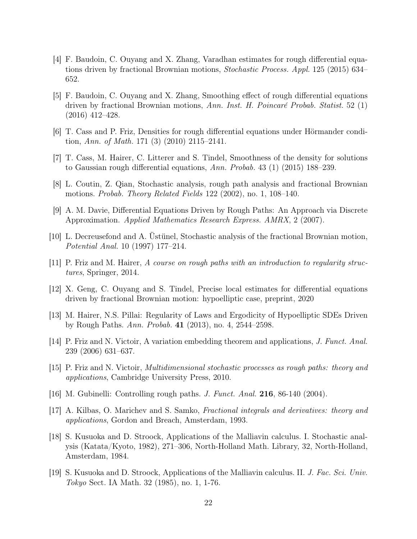- <span id="page-21-5"></span>[4] F. Baudoin, C. Ouyang and X. Zhang, Varadhan estimates for rough differential equations driven by fractional Brownian motions, Stochastic Process. Appl. 125 (2015) 634– 652.
- [5] F. Baudoin, C. Ouyang and X. Zhang, Smoothing effect of rough differential equations driven by fractional Brownian motions, Ann. Inst. H. Poincaré Probab. Statist. 52 (1) (2016) 412–428.
- <span id="page-21-2"></span>[6] T. Cass and P. Friz, Densities for rough differential equations under Hörmander condition, Ann. of Math. 171 (3) (2010) 2115–2141.
- <span id="page-21-4"></span>[7] T. Cass, M. Hairer, C. Litterer and S. Tindel, Smoothness of the density for solutions to Gaussian rough differential equations, Ann. Probab. 43 (1) (2015) 188–239.
- [8] L. Coutin, Z. Qian, Stochastic analysis, rough path analysis and fractional Brownian motions. Probab. Theory Related Fields 122 (2002), no. 1, 108–140.
- [9] A. M. Davie, Differential Equations Driven by Rough Paths: An Approach via Discrete Approximation. Applied Mathematics Research Express. AMRX, 2 (2007).
- <span id="page-21-7"></span>[10] L. Decreusefond and A. Üstünel, Stochastic analysis of the fractional Brownian motion, Potential Anal. 10 (1997) 177–214.
- <span id="page-21-10"></span>[11] P. Friz and M. Hairer, A course on rough paths with an introduction to regularity structures, Springer, 2014.
- <span id="page-21-6"></span>[12] X. Geng, C. Ouyang and S. Tindel, Precise local estimates for differential equations driven by fractional Brownian motion: hypoelliptic case, preprint, 2020
- <span id="page-21-3"></span>[13] M. Hairer, N.S. Pillai: Regularity of Laws and Ergodicity of Hypoelliptic SDEs Driven by Rough Paths. Ann. Probab. 41 (2013), no. 4, 2544–2598.
- <span id="page-21-9"></span>[14] P. Friz and N. Victoir, A variation embedding theorem and applications, J. Funct. Anal. 239 (2006) 631–637.
- <span id="page-21-0"></span>[15] P. Friz and N. Victoir, Multidimensional stochastic processes as rough paths: theory and applications, Cambridge University Press, 2010.
- <span id="page-21-1"></span>[16] M. Gubinelli: Controlling rough paths. J. Funct. Anal. 216, 86-140 (2004).
- <span id="page-21-8"></span>[17] A. Kilbas, O. Marichev and S. Samko, Fractional integrals and derivatives: theory and applications, Gordon and Breach, Amsterdam, 1993.
- [18] S. Kusuoka and D. Stroock, Applications of the Malliavin calculus. I. Stochastic analysis (Katata/Kyoto, 1982), 271–306, North-Holland Math. Library, 32, North-Holland, Amsterdam, 1984.
- [19] S. Kusuoka and D. Stroock, Applications of the Malliavin calculus. II. J. Fac. Sci. Univ. Tokyo Sect. IA Math. 32 (1985), no. 1, 1-76.